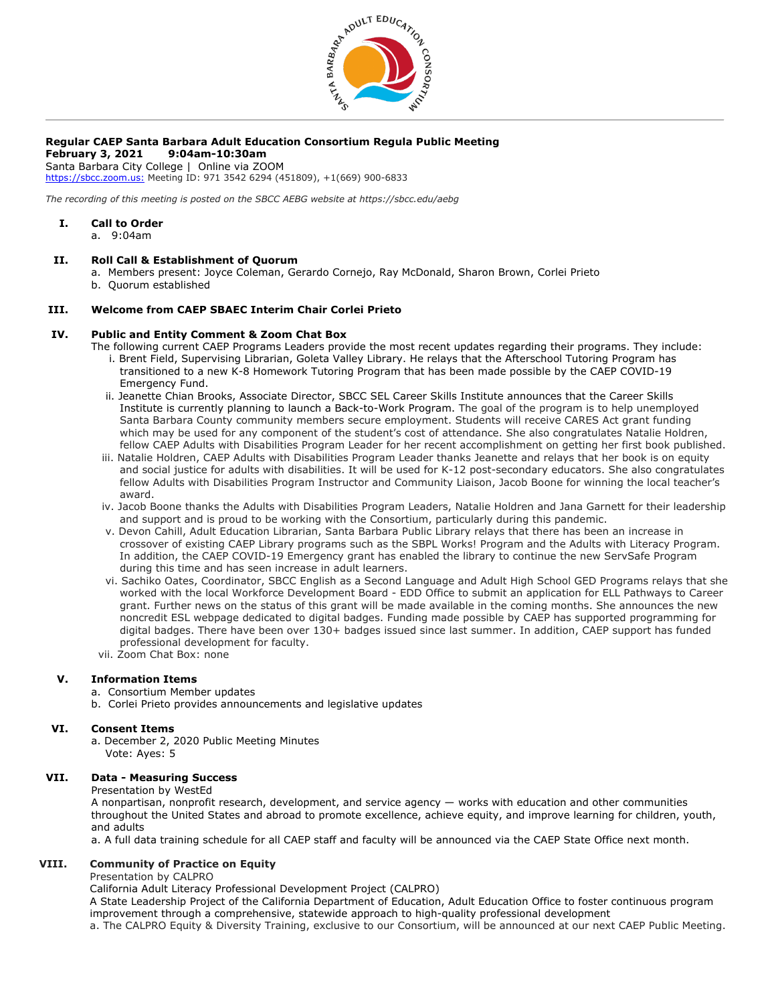

# **Regular CAEP Santa Barbara Adult Education Consortium Regula Public Meeting**

**February 3, 2021 9:04am-10:30am**

Santa Barbara City College | Online via ZOOM [https://sbcc.zoom.us:](https://sbcc.zoom.us/) Meeting ID: 971 3542 6294 (451809), +1(669) 900-6833

*The recording of this meeting is posted on the SBCC AEBG website at https://sbcc.edu/aebg*

#### **I. Call to Order**

a. 9:04am

#### **II. Roll Call & Establishment of Quorum**

- a. Members present: Joyce Coleman, Gerardo Cornejo, Ray McDonald, Sharon Brown, Corlei Prieto
- b. Quorum established

#### **III. Welcome from CAEP SBAEC Interim Chair Corlei Prieto**

#### **IV. Public and Entity Comment & Zoom Chat Box**

- The following current CAEP Programs Leaders provide the most recent updates regarding their programs. They include: i. Brent Field, Supervising Librarian, Goleta Valley Library. He relays that the Afterschool Tutoring Program has transitioned to a new K-8 Homework Tutoring Program that has been made possible by the CAEP COVID-19
	- Emergency Fund. ii. Jeanette Chian Brooks, Associate Director, SBCC SEL Career Skills Institute announces that the Career Skills Institute is currently planning to launch a Back-to-Work Program. The goal of the program is to help unemployed Santa Barbara County community members secure employment. Students will receive CARES Act grant funding which may be used for any component of the student's cost of attendance. She also congratulates Natalie Holdren, fellow CAEP Adults with Disabilities Program Leader for her recent accomplishment on getting her first book published.
	- iii. Natalie Holdren, CAEP Adults with Disabilities Program Leader thanks Jeanette and relays that her book is on equity and social justice for adults with disabilities. It will be used for K-12 post-secondary educators. She also congratulates fellow Adults with Disabilities Program Instructor and Community Liaison, Jacob Boone for winning the local teacher's award.
	- iv. Jacob Boone thanks the Adults with Disabilities Program Leaders, Natalie Holdren and Jana Garnett for their leadership and support and is proud to be working with the Consortium, particularly during this pandemic.
	- v. Devon Cahill, Adult Education Librarian, Santa Barbara Public Library relays that there has been an increase in crossover of existing CAEP Library programs such as the SBPL Works! Program and the Adults with Literacy Program. In addition, the CAEP COVID-19 Emergency grant has enabled the library to continue the new ServSafe Program during this time and has seen increase in adult learners.
	- vi. Sachiko Oates, Coordinator, SBCC English as a Second Language and Adult High School GED Programs relays that she worked with the local Workforce Development Board - EDD Office to submit an application for ELL Pathways to Career grant. Further news on the status of this grant will be made available in the coming months. She announces the new noncredit ESL webpage dedicated to digital badges. Funding made possible by CAEP has supported programming for digital badges. There have been over 130+ badges issued since last summer. In addition, CAEP support has funded professional development for faculty.
- vii. Zoom Chat Box: none

#### **V. Information Items**

- a. Consortium Member updates
- b. Corlei Prieto provides announcements and legislative updates

#### **VI. Consent Items**

a. December 2, 2020 Public Meeting Minutes Vote: Ayes: 5

## **VII. Data - Measuring Success**

Presentation by WestEd

A nonpartisan, nonprofit research, development, and service agency — works with education and other communities throughout the United States and abroad to promote excellence, achieve equity, and improve learning for children, youth, and adults

a. A full data training schedule for all CAEP staff and faculty will be announced via the CAEP State Office next month.

#### **VIII. Community of Practice on Equity**

Presentation by CALPRO

California Adult Literacy Professional Development Project (CALPRO)

A State Leadership Project of the California Department of Education, Adult Education Office to foster continuous program improvement through a comprehensive, statewide approach to high-quality professional development a. The CALPRO Equity & Diversity Training, exclusive to our Consortium, will be announced at our next CAEP Public Meeting.